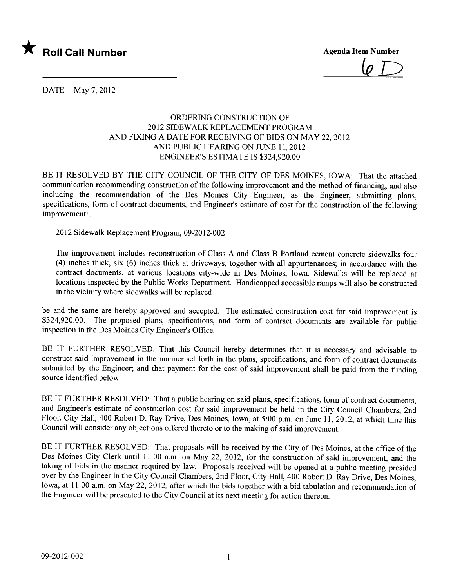

 $\varphi$   $\Box$ 

DATE May 7, 2012

## ORDERING CONSTRUCTION OF 20 12 SIDEWALK REPLACEMENT PROGRAM AND FIXING A DATE FOR RECEIVING OF BIDS ON MAY 22,2012 AND PUBLIC HEARING ON JUNE 11, 2012 ENGINEER'S ESTIMATE IS \$324,920.00

BE IT RESOLVED BY THE CITY COUNCIL OF THE CITY OF DES MOINES, IOWA: That the attached communication recommending construction of the following improvement and the method of financing; and also including the recommendation of the Des Moines City Engineer, as the Engineer, submitting plans, specifications, form of contract documents, and Engineer's estimate of cost for the construction of the following improvement:

2012 Sidewalk Replacement Program, 09-2012-002

The improvement includes reconstruction of Class A and Class B Portland cement concrete sidewalks four (4) inches thick, six (6) inches thick at driveways, together with all appurtenances; in accordance with the contract documents, at various locations city-wide in Des Moines, Iowa. Sidewalks will be replaced at locations inspected by the Public Works Department. Handicapped accessible ramps will also be constructed in the vicinity where sidewalks will be replaced

be and the same are hereby approved and accepted. The estimated construction cost for said improvement is \$324,920.00. The proposed plans, specifications, and form of contract documents are available for public inspection in the Des Moines City Engineer's Office.

BE IT FURTHER RESOLVED: That this Council hereby determines that it is necessary and advisable to construct said improvement in the manner set forth in the plans, specifications, and form of contract documents submitted by the Engineer; and that payment for the cost of said improvement shall be paid from the funding source identified below.

BE IT FURTHER RESOLVED: That a public hearing on said plans, specifications, form of contract documents, and Engineer's estimate of construction cost for said improvement be held in the City Council Chambers, 2nd Floor, City Hall, 400 Robert D. Ray Drive, Des Moines, Iowa, at 5:00 p.m. on June 11,2012, at which time this Council will consider any objections offered thereto or to the making of said improvement.

BE IT FURTHER RESOLVED: That proposals will be received by the City of Des Moines, at the office of the Des Moines City Clerk until 11:00 a.m. on May 22, 2012, for the construction of said improvement, and the taking of bids in the manner required by law. Proposals received wil be opened at a public meeting presided over by the Engineer in the City Council Chambers, 2nd Floor, City Hall, 400 Robert D. Ray Drive, Des Moines, Iowa, at 11:00 a.m. on May 22, 2012, after which the bids together with a bid tabulation and recommendation of the Engineer will be presented to the City Council at its next meeting for action thereon.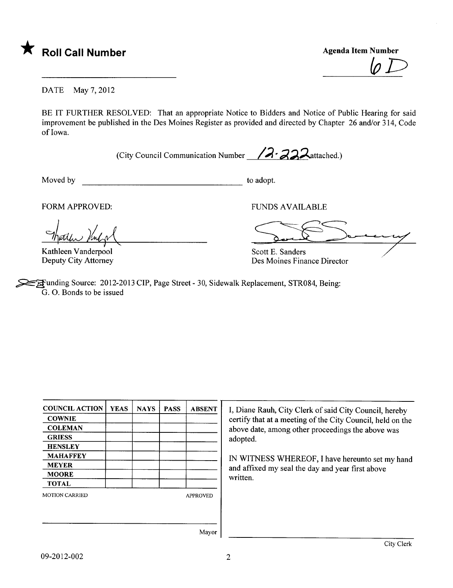

Agenda Item Number  $\not\!\!\!\!\!\! \varphi\,$ 

DATE May 7, 2012

BE IT FURTHER RESOLVED: That an appropriate Notice to Bidders and Notice of Public Hearing for said improvement be published in the Des Moines Register as provided and directed by Chapter 26 and/or 314, Code of Iowa.

(City Council Communication Number  $/2$  -  $/3$   $\lambda$  attached.)

Moved by to adopt.

FORM APPROVED:

harren Venlar

Kathleen Vanderpool Deputy City Attorney

FUNDS AVAILABLE

Soul Sommy

Scott E. Sanders Des Moines Finance Director

Example Source: 2012-2013 CIP, Page Street - 30, Sidewalk Replacement, STR084, Being: G. O. Bonds to be issued

| <b>COUNCIL ACTION</b> | <b>YEAS</b> | <b>NAYS</b> | <b>PASS</b> | <b>ABSENT</b>   |
|-----------------------|-------------|-------------|-------------|-----------------|
| <b>COWNIE</b>         |             |             |             |                 |
| <b>COLEMAN</b>        |             |             |             |                 |
| <b>GRIESS</b>         |             |             |             |                 |
| <b>HENSLEY</b>        |             |             |             |                 |
| MAHAFFEY              |             |             |             |                 |
| <b>MEYER</b>          |             |             |             |                 |
| <b>MOORE</b>          |             |             |             |                 |
| <b>TOTAL</b>          |             |             |             |                 |
| <b>MOTION CARRIED</b> |             |             |             | <b>APPROVED</b> |
|                       |             |             |             |                 |
|                       |             |             |             |                 |

I, Diane Rauh, City Clerk of said City Council, hereby certify that at a meeting of the City Council, held on the above date, among other proceedings the above was adopted.

IN WITNESS WHEREOF, I have hereunto set my hand and affixed my seal the day and year first above written.

Mayor